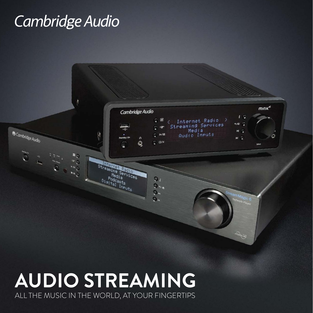## Cambridge Audio



## **AUDIO STREAMING** ALL THE MUSIC IN THE WORLD, AT YOUR FINGERTIPS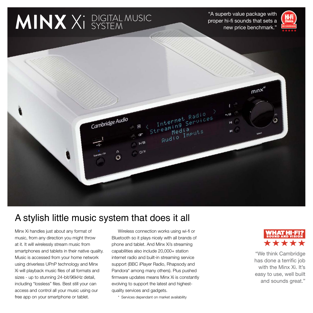# **MINX** Xi DIGITAL MUSIC SYSTEM

"A superb value package with proper hi-fi sounds that sets a new price benchmark."





#### A stylish little music system that does it all

Minx Xi handles just about any format of music, from any direction you might throw at it. It will wirelessly stream music from smartphones and tablets in their native quality. Music is accessed from your home network using driverless UPnP technology and Minx Xi will playback music files of all formats and sizes - up to stunning 24-bit/96kHz detail, including "lossless" files. Best still your can access and control all your music using our free app on your smartphone or tablet.

Wireless connection works using wi-fi or Bluetooth so it plays nicely with all brands of phone and tablet. And Minx Xi's streaming capabilities also include 20,000+ station internet radio and built-in streaming service support (BBC iPlayer Radio, Rhapsody and Pandora\* among many others). Plus pushed firmware updates means Minx Xi is constantly evolving to support the latest and highestquality services and gadgets.

\* Services dependant on market availability



"We think Cambridge has done a terrific job with the Minx Xi. It's easy to use, well built and sounds great."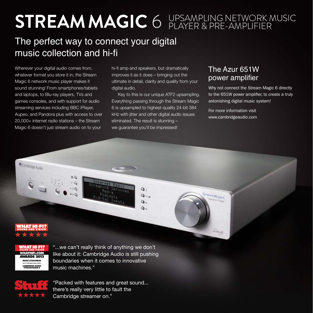## **STREAM MAGIC** 6 UPSAMPLING NETWORK MUSIC PLAYER & PRE-AMPLIFIER

### The perfect way to connect your digital music collection and hi-fi

Wherever your digital audio comes from, whatever format you store it in, the Stream Magic 6 network music player makes it sound stunning! From smartphones/tablets and laptops, to Blu-ray players, TVs and games consoles, and with support for audio streaming services including BBC iPlayer, Aupeo, and Pandora plus with access to over 20,000+ internet radio stations – the Stream Magic 6 doesn't just stream audio on to your

 $DQ$ 

hi-fi amp and speakers, but dramatically improves it as it does – bringing out the ultimate in detail, clarity and quality from your digital audio.

Key to this is our unique ATF2 upsampling. Everything passing through the Stream Magic 6 is upsampled to highest-quality 24-bit 384 kHz with jitter and other digital audio issues eliminated. The result is stunning – we quarantee you'll be impressed!

 $\mathbf{Q}$ 

Ο.  $\Omega$ .

 $\mathbf{Q}$ 

#### The Azur 651W power amplifier

Why not connect the Stream Magic 6 directly to the 651W power amplifier, to create a truly astonishing digital music system!

For more information visit www.cambridgeaudio.com

Stream Magic 6

etwork Player

GREANCE ENG



O Cambridge Audio

**WHATHIFI.COM WARDS 2013** MUCH STOE AMEDE **CAMBRIDGE AUDIO**<br>STREAM MAGIC 6

"...we can't really think of anything we don't like about it: Cambridge Audio is still pushing boundaries when it comes to innovative music machines."



"Packed with features and great sound... there's really very little to fault the Cambridge streamer on."